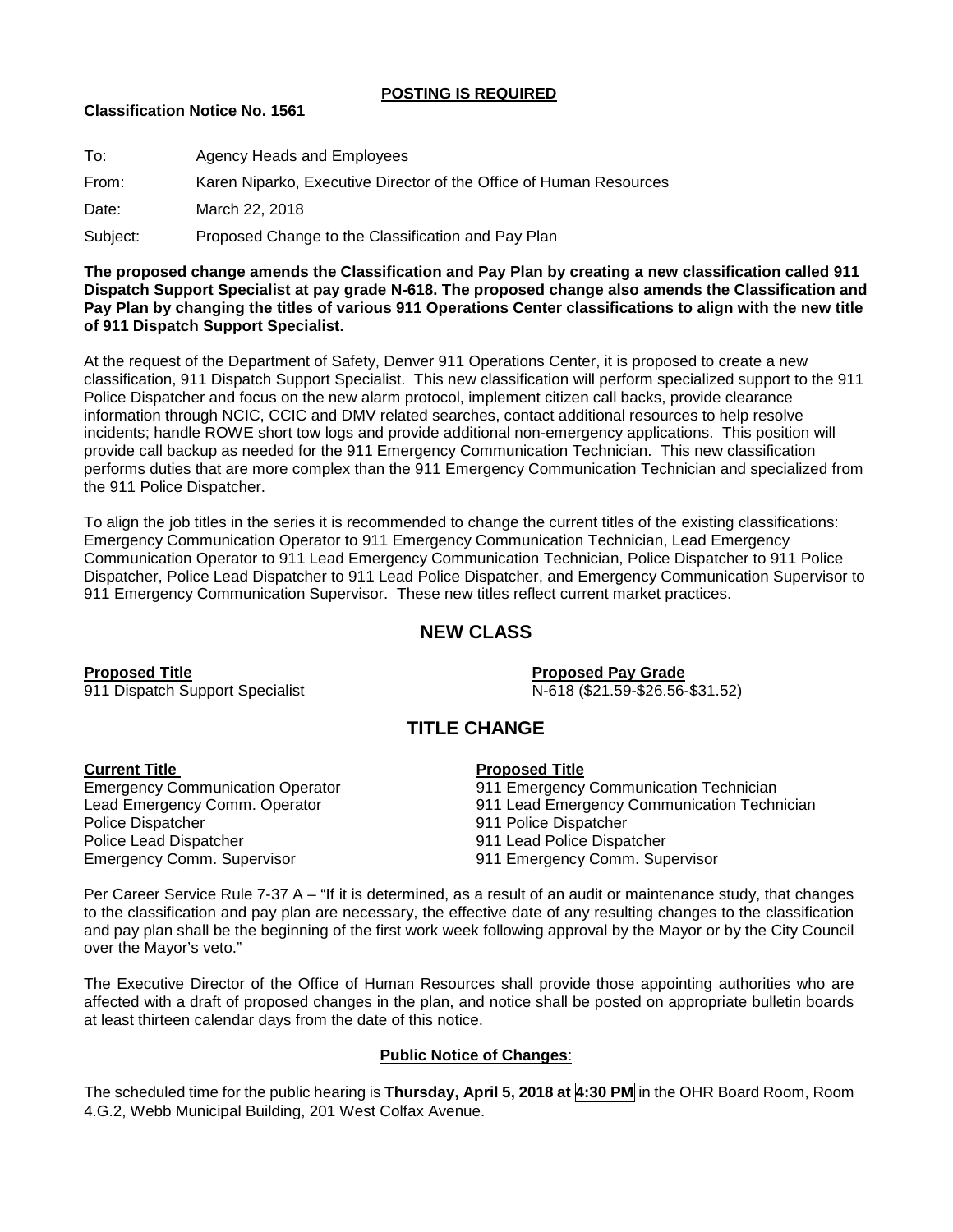## **POSTING IS REQUIRED**

## **Classification Notice No. 1561**

| To:      | Agency Heads and Employees                                         |
|----------|--------------------------------------------------------------------|
| From:    | Karen Niparko, Executive Director of the Office of Human Resources |
| Date:    | March 22, 2018                                                     |
| Subject: | Proposed Change to the Classification and Pay Plan                 |
|          |                                                                    |

**The proposed change amends the Classification and Pay Plan by creating a new classification called 911 Dispatch Support Specialist at pay grade N-618. The proposed change also amends the Classification and Pay Plan by changing the titles of various 911 Operations Center classifications to align with the new title of 911 Dispatch Support Specialist.**

At the request of the Department of Safety, Denver 911 Operations Center, it is proposed to create a new classification, 911 Dispatch Support Specialist. This new classification will perform specialized support to the 911 Police Dispatcher and focus on the new alarm protocol, implement citizen call backs, provide clearance information through NCIC, CCIC and DMV related searches, contact additional resources to help resolve incidents; handle ROWE short tow logs and provide additional non-emergency applications. This position will provide call backup as needed for the 911 Emergency Communication Technician. This new classification performs duties that are more complex than the 911 Emergency Communication Technician and specialized from the 911 Police Dispatcher.

To align the job titles in the series it is recommended to change the current titles of the existing classifications: Emergency Communication Operator to 911 Emergency Communication Technician, Lead Emergency Communication Operator to 911 Lead Emergency Communication Technician, Police Dispatcher to 911 Police Dispatcher, Police Lead Dispatcher to 911 Lead Police Dispatcher, and Emergency Communication Supervisor to 911 Emergency Communication Supervisor. These new titles reflect current market practices.

## **NEW CLASS**

**Proposed Title Proposed Pay Grade** 911 Dispatch Support Specialist

# **TITLE CHANGE**

**Current Title**<br> **Emergency Communication Operator**<br> **Proposed Title**<br> **Proposed Title** Police Dispatcher 1911 Police Dispatcher 1911 Police Dispatcher<br>Police Lead Dispatcher 1911 Lead Police Dispa Emergency Comm. Supervisor 911 Emergency Comm. Supervisor

- 911 Emergency Communication Technician
- Lead Emergency Comm. Operator 911 Lead Emergency Communication Technician
	-
	- 911 Lead Police Dispatcher
	-

Per Career Service Rule 7-37 A – "If it is determined, as a result of an audit or maintenance study, that changes to the classification and pay plan are necessary, the effective date of any resulting changes to the classification and pay plan shall be the beginning of the first work week following approval by the Mayor or by the City Council over the Mayor's veto."

The Executive Director of the Office of Human Resources shall provide those appointing authorities who are affected with a draft of proposed changes in the plan, and notice shall be posted on appropriate bulletin boards at least thirteen calendar days from the date of this notice.

## **Public Notice of Changes**:

The scheduled time for the public hearing is **Thursday, April 5, 2018 at 4:30 PM** in the OHR Board Room, Room 4.G.2, Webb Municipal Building, 201 West Colfax Avenue.